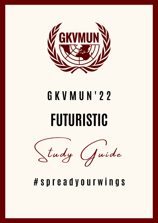

# GKVMUN'22 FUTURISTIC



# # spreadyourwings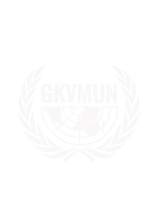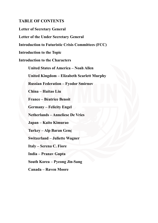#### **TABLE OF CONTENTS**

**Letter of Secretary General**

**Letter of the Under Secretary General**

**Introduction to Futuristic Crisis Committees (FCC)**

**Introduction to the Topic**

**Introduction to the Characters**

**United States of America – Noah Allen**

**United Kingdom – Elizabeth Scarlett Murphy**

**Russian Federation – Fyodor Smirnov**

**China – Haitao Liu**

**France – Béatrice Benoit**

**Germany – Felicity Engel**

**Netherlands – Anneliese De Vries**

**Japan – Kaito Kimurao**

**Turkey – Alp Baran Genç**

**Switzerland – Juliette Wagner**

**Italy – Serena C. Fiore**

**India – Pranav Gupta**

**South Korea – Pyeong Jin-Sang**

**Canada – Raven Moore**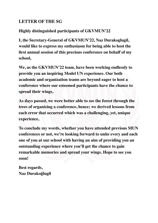# **LETTER OF THE SG**

# **Highly distinguished participants of GKVMUN'22**

**I, the Secretary-General of GKVMUN'22, Naz Durakoglugil, would like to express my enthusiasm for being able to host the first annual session of this precious conference on behalf of my school,** 

**We, as the GKVMUN'22 team, have been working endlessly to provide you an inspiring Model UN experience. Our both academic and organization teams are beyond eager to host a conference where our esteemed participants have the chance to spread their wings,** 

**As days passed, we were better able to see the forest through the trees of organizing a conference, hence; we derived lessons from each error that occurred which was a challenging, yet, unique experience,** 

**To conclude my words, whether you have attended previous MUN conferences or not, we're looking forward to unite every and each one of you at our school with having an aim of providing you an outstanding experience where you'll get the chance to gain remarkable memories and spread your wings. Hope to see you soon!** 

**Best regards, Naz Durakoğlugil**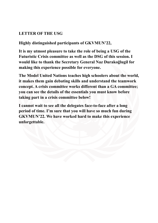# **LETTER OF THE USG**

**Highly distinguished participants of GKVMUN'22,**

**It is my utmost pleasure to take the role of being a USG of the Futuristic Crisis committee as well as the DSG of this session. I would like to thank the Secretary General Naz Durakoğlugil for making this experience possible for everyone.** 

**The Model United Nations teaches high schoolers about the world, it makes them gain debating skills and understand the teamwork concept. A crisis committee works different than a GA committee; you can see the details of the essentials you must know before taking part in a crisis committee below!**

**I cannot wait to see all the delegates face-to-face after a long period of time. I'm sure that you will have so much fun during GKVMUN'22. We have worked hard to make this experience unforgettable.**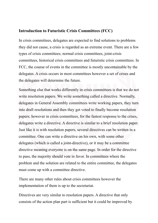## **Introduction to Futuristic Crisis Committees (FCC)**

In crisis committees, delegates are expected to find solutions to problems they did not cause, a crisis is regarded as an extreme event. There are a few types of crisis committees; normal crisis committees, joint-crisis committees, historical crisis committees and futuristic crisis committees. In FCC, the course of events in the committee is mostly uncontainable by the delegates. A crisis occurs in most committees however a set of crises and the delegates will determine the future.

Something else that works differently in crisis committees is that we do not write resolution papers. We write something called a directive. Normally, delegates in General Assembly committees write working papers, they turn into draft resolutions and then they get voted to finally become resolution papers; however in crisis committees, for the fastest response to the crises, delegates write a directive. A directive is similar to a brief resolution paper. Just like it is with resolution papers, several directives can be written in a committee. One can write a directive on his own, with some other delegates (which is called a joint-directive), or it may be a committee directive meaning everyone is on the same page. In order for the directive to pass, the majority should vote in favor. In committees where the problem and the solution are related to the entire committee, the delegates must come up with a committee directive.

There are many other rules about crisis committees however the implementation of them is up to the secretariat.

Directives are very similar to resolution papers. A directive that only consists of the action plan part is sufficient but it could be improved by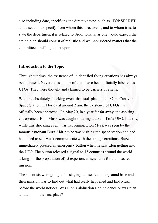also including date, specifying the directive type, such as "TOP SECRET" and a section to specify from whom this directive is, and to whom it is, to state the department it is related to. Additionally, as one would expect, the action plan should consist of realistic and well-considered matters that the committee is willing to act upon.

#### **Introduction to the Topic**

Throughout time, the existence of unidentified flying creations has always been present. Nevertheless, none of them have been officially labelled as UFOs. They were thought and claimed to be carriers of aliens.

With the absolutely shocking event that took place in the Cape Canaveral Space Station in Florida at around 2 am, the existence of UFOs has officially been approved. On May 20, in a year far far away, the aspiring entrepreneur Elon Musk was caught ordering a take-off of a UFO. Luckily, while this shocking event was happening, Elon Musk was seen by the famous astronaut Buzz Aldrin who was visiting the space station and had happened to see Musk communicate with the strange creations. Buzz immediately pressed an emergency button when he saw Elon getting into the UFO. The button released a signal to 15 countries around the world asking for the preparation of 15 experienced scientists for a top secret mission.

The scientists were going to be staying at a secret underground base and their mission was to find out what had really happened and find Musk before the world notices. Was Elon's abduction a coincidence or was it an abduction in the first place?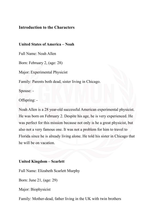#### **Introduction to the Characters**

#### **United States of America – Noah**

Full Name: Noah Allen

Born: February 2, (age: 28)

Major: Experimental Physicist

Family: Parents both dead, sister living in Chicago.

Spouse: -

Offspring: -

Noah Allen is a 28 year-old successful American experimental physicist. He was born on February 2. Despite his age, he is very experienced. He was perfect for this mission because not only is he a great physicist, but also not a very famous one. It was not a problem for him to travel to Florida since he is already living alone. He told his sister in Chicago that he will be on vacation.

#### **United Kingdom – Scarlett**

Full Name: Elizabeth Scarlett Murphy

Born: June 21, (age: 29)

Major: Biophysicist

Family: Mother-dead, father living in the UK with twin brothers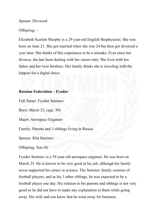Spouse: Divorced

#### Offspring: -

Elizabeth Scarlett Murphy is a 29 year-old English Biophysicist. She was born on June 21. She got married when she was 24 but then got divorced a year later. She thinks of this experience to be a mistake. Ever since her divorce, she has been dealing with her career only. She lives with her father and her twin brothers. Her family thinks she is traveling with the hippies for a digital detox.

#### **Russian Federation – Fyodor**

Full Name: Fyodor Smirnov

Born: March 25, (age: 39)

Major: Aerospace Engineer

Family: Parents and 3 siblings living in Russia

Spouse: Rita Smirnov

Offspring: Son (8)

Fyodor Smirnov is a 39 year-old aerospace engineer. He was born on March 25. He is known to be very good at his job, although his family never supported his career in science. The Smirnov family consists of football players, and as his 3 other siblings, he was expected to be a football player one day. His relation to his parents and siblings is not very good so he did not have to make any explanation to them while going away. His wife and son know that he went away for business.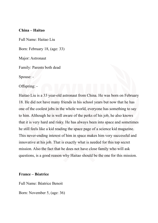#### **China – Haitao**

Full Name: Haitao Liu

Born: February 18, (age: 33)

Major: Astronaut

Family: Parents both dead

Spouse: -

Offspring: -

Haitao Liu is a 33 year-old astronaut from China. He was born on February 18. He did not have many friends in his school years but now that he has one of the coolest jobs in the whole world, everyone has something to say to him. Although he is well aware of the perks of his job, he also knows that it is very hard and risky. He has always been into space and sometimes he still feels like a kid reading the space page of a science kid magazine. This never-ending interest of him in space makes him very successful and innovative at his job. That is exactly what is needed for this top secret mission. Also the fact that he does not have close family who will ask questions, is a good reason why Haitao should be the one for this mission.

#### **France – Béatrice**

Full Name: Béatrice Benoit

Born: November 5, (age: 36)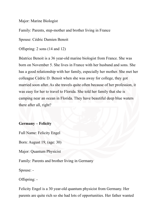Major: Marine Biologist

Family: Parents, step-mother and brother living in France

Spouse: Cédric Damien Benoit

Offspring: 2 sons (14 and 12)

Béatrice Benoit is a 36 year-old marine biologist from France. She was born on November 5. She lives in France with her husband and sons. She has a good relationship with her family, especially her mother. She met her colleague Cédric D. Benoit when she was away for college, they got married soon after. As she travels quite often because of her profession, it was easy for her to travel to Florida. She told her family that she is camping near an ocean in Florida. They have beautiful deep blue waters there after all, right?

## **Germany – Felicity**

Full Name: Felicity Engel

Born: August 19, (age: 30)

Major: Quantum Physicist

Family: Parents and brother living in Germany

Spouse: -

Offspring: -

Felicity Engel is a 30 year-old quantum physicist from Germany. Her parents are quite rich so she had lots of opportunities. Her father wanted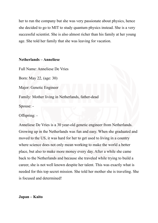her to run the company but she was very passionate about physics, hence she decided to go to MIT to study quantum physics instead. She is a very successful scientist. She is also almost richer than his family at her young age. She told her family that she was leaving for vacation.

#### **Netherlands – Anneliese**

Full Name: Anneliese De Vries

Born: May 22, (age: 30)

Major: Genetic Engineer

Family: Mother living in Netherlands, father-dead

Spouse: -

Offspring: -

Anneliese De Vries is a 30 year-old genetic engineer from Netherlands. Growing up in the Netherlands was fun and easy. When she graduated and moved to the US, it was hard for her to get used to living in a country where science does not only mean working to make the world a better place, but also to make more money every day. After a while she came back to the Netherlands and because she traveled while trying to build a career, she is not well known despite her talent. This was exactly what is needed for this top secret mission. She told her mother she is traveling. She is focused and determined!

**Japan – Kaito**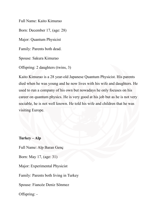Full Name: Kaito Kimurao

Born: December 17, (age: 28)

Major: Quantum Physicist

Family: Parents both dead.

Spouse: Sakura Kimurao

Offspring: 2 daughters (twins, 3)

Kaito Kimurao is a 28 year-old Japanese Quantum Physicist. His parents died when he was young and he now lives with his wife and daughters. He used to run a company of his own but nowadays he only focuses on his career on quantum physics. He is very good at his job but as he is not very sociable, he is not well known. He told his wife and children that he was visiting Europe.

#### **Turkey – Alp**

Full Name: Alp Baran Genç

Born: May 17, (age: 31)

Major: Experimental Physicist

Family: Parents both living in Turkey

Spouse: Fiancée Deniz Sönmez

Offspring: -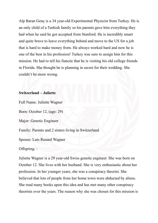Alp Baran Genç is a 34 year-old Experimental Physicist from Turkey. He is an only child of a Turkish family so his parents gave him everything they had when he said he got accepted from Stanford. He is incredibly smart and quite brave to leave everything behind and move to the US for a job that is hard to make money from. He always worked hard and now he is one of the best in his profession! Turkey was sure to assign him for this mission. He had to tell his fiancée that he is visiting his old college friends in Florida. She thought he is planning in secret for their wedding. She couldn't be more wrong.

#### **Switzerland – Juliette**

Full Name: Juliette Wagner Born: October 12, (age: 29) Major: Genetic Engineer Family: Parents and 2 sisters living in Switzerland Spouse: Luis Renard Wagner Offspring: -

Juliette Wagner is a 29 year-old Swiss genetic engineer. She was born on October 12. She lives with her husband. She is very enthusiastic about her profession. In her younger years, she was a conspiracy theorist. She believed that lots of people from her home town were abducted by aliens. She read many books upon this idea and has met many other conspiracy theorists over the years. The reason why she was chosen for this mission is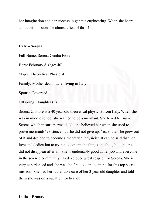her imagination and her success in genetic engineering. When she heard about this mission she almost cried of thrill!

#### **Italy – Serena**

Full Name: Serena Cecilia Fiore

Born: February 8, (age: 40)

Major: Theoretical Physicist

Family: Mother dead, father living in Italy

Spouse: Divorced

Offspring: Daughter (3)

Serena C. Fiore is a 40 year-old theoretical physicist from Italy. When she was in middle school she wanted to be a mermaid. She loved her name Serena which means mermaid. No one believed her when she tried to prove mermaids' existence but she did not give up. Years later she grew out of it and decided to become a theoretical physicist. It can be said that her love and dedication to trying to explain the things she thought to be true did not disappear after all. She is undeniably good at her job and everyone in the science community has developed great respect for Serena. She is very experienced and she was the first to come to mind for this top secret mission! She had her father take care of her 3 year old daughter and told them she was on a vacation for her job.

#### **India – Pranav**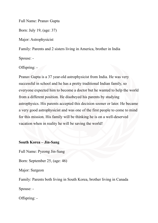Full Name: Pranav Gupta

Born: July 19, (age: 37)

Major: Astrophysicist

Family: Parents and 2 sisters living in America, brother in India Spouse: -

Offspring: -

Pranav Gupta is a 37 year-old astrophysicist from India. He was very successful in school and he has a pretty traditional Indian family, so everyone expected him to become a doctor but he wanted to help the world from a different position. He disobeyed his parents by studying astrophysics. His parents accepted this decision sooner or later. He became a very good astrophysicist and was one of the first people to come to mind for this mission. His family will be thinking he is on a well-deserved vacation when in reality he will be saving the world!

#### **South Korea – Jin-Sang**

Full Name: Pyeong Jin-Sang

Born: September 25, (age: 46)

Major: Surgeon

Family: Parents both living in South Korea, brother living in Canada

Spouse: -

Offspring: -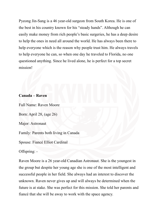Pyeong Jin-Sang is a 46 year-old surgeon from South Korea. He is one of the best in his country known for his "steady hands". Although he can easily make money from rich people's basic surgeries, he has a deep desire to help the ones in need all around the world. He has always been there to help everyone which is the reason why people trust him. He always travels to help everyone he can, so when one day he traveled to Florida, no one questioned anything. Since he lived alone, he is perfect for a top secret mission!

#### **Canada – Raven**

Full Name: Raven Moore

Born: April 28, (age 26)

Major: Astronaut

Family: Parents both living in Canada

Spouse: Fiancé Elliot Cardinal

Offspring: -

Raven Moore is a 26 year-old Canadian Astronaut. She is the youngest in the group but despite her young age she is one of the most intelligent and successful people in her field. She always had an interest to discover the unknown. Raven never gives up and will always be determined when the future is at stake. She was perfect for this mission. She told her parents and fiancé that she will be away to work with the space agency.